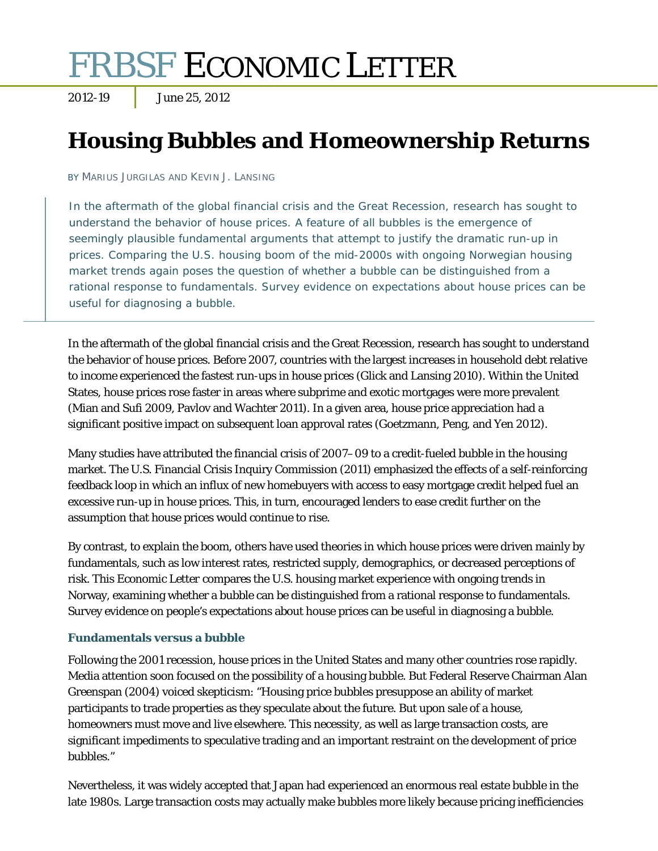# FRBSF ECONOMIC LETTER

2012-19 June 25, 2012

# **Housing Bubbles and Homeownership Returns**

BY MARIUS JURGILAS AND KEVIN J. LANSING

In the aftermath of the global financial crisis and the Great Recession, research has sought to understand the behavior of house prices. A feature of all bubbles is the emergence of seemingly plausible fundamental arguments that attempt to justify the dramatic run-up in prices. Comparing the U.S. housing boom of the mid-2000s with ongoing Norwegian housing market trends again poses the question of whether a bubble can be distinguished from a rational response to fundamentals. Survey evidence on expectations about house prices can be useful for diagnosing a bubble.

In the aftermath of the global financial crisis and the Great Recession, research has sought to understand the behavior of house prices. Before 2007, countries with the largest increases in household debt relative to income experienced the fastest run-ups in house prices (Glick and Lansing 2010). Within the United States, house prices rose faster in areas where subprime and exotic mortgages were more prevalent (Mian and Sufi 2009, Pavlov and Wachter 2011). In a given area, house price appreciation had a significant positive impact on subsequent loan approval rates (Goetzmann, Peng, and Yen 2012).

Many studies have attributed the financial crisis of 2007–09 to a credit-fueled bubble in the housing market. The U.S. Financial Crisis Inquiry Commission (2011) emphasized the effects of a self-reinforcing feedback loop in which an influx of new homebuyers with access to easy mortgage credit helped fuel an excessive run-up in house prices. This, in turn, encouraged lenders to ease credit further on the assumption that house prices would continue to rise.

By contrast, to explain the boom, others have used theories in which house prices were driven mainly by fundamentals, such as low interest rates, restricted supply, demographics, or decreased perceptions of risk. This *Economic Letter* compares the U.S. housing market experience with ongoing trends in Norway, examining whether a bubble can be distinguished from a rational response to fundamentals. Survey evidence on people's expectations about house prices can be useful in diagnosing a bubble.

# **Fundamentals versus a bubble**

Following the 2001 recession, house prices in the United States and many other countries rose rapidly. Media attention soon focused on the possibility of a housing bubble. But Federal Reserve Chairman Alan Greenspan (2004) voiced skepticism: "Housing price bubbles presuppose an ability of market participants to trade properties as they speculate about the future. But upon sale of a house, homeowners must move and live elsewhere. This necessity, as well as large transaction costs, are significant impediments to speculative trading and an important restraint on the development of price bubbles."

Nevertheless, it was widely accepted that Japan had experienced an enormous real estate bubble in the late 1980s. Large transaction costs may actually make bubbles more likely because pricing inefficiencies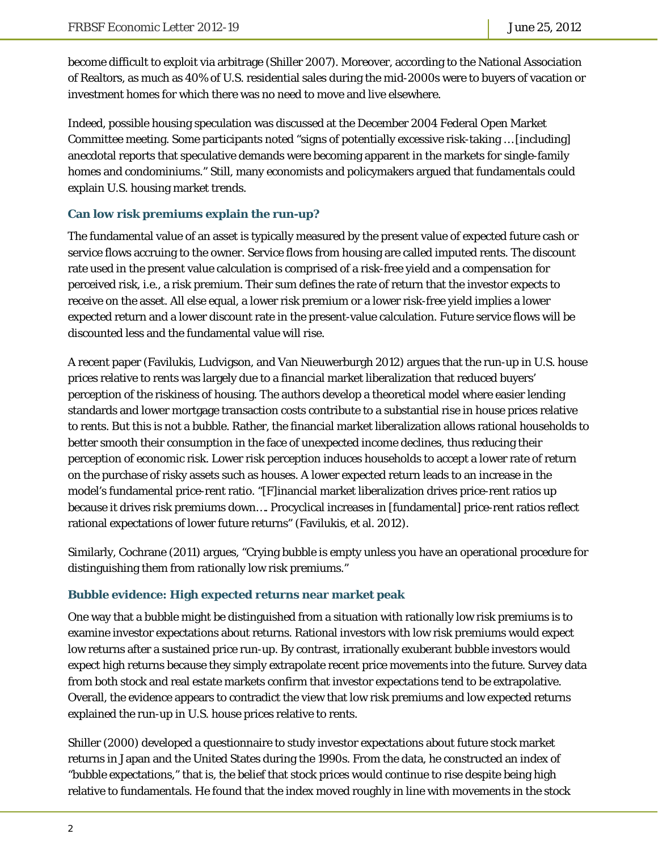become difficult to exploit via arbitrage (Shiller 2007). Moreover, according to the National Association of Realtors, as much as 40% of U.S. residential sales during the mid-2000s were to buyers of vacation or investment homes for which there was no need to move and live elsewhere.

Indeed, possible housing speculation was discussed at the December 2004 Federal Open Market Committee meeting. Some participants noted "signs of potentially excessive risk-taking … [including] anecdotal reports that speculative demands were becoming apparent in the markets for single-family homes and condominiums." Still, many economists and policymakers argued that fundamentals could explain U.S. housing market trends.

#### **Can low risk premiums explain the run-up?**

The fundamental value of an asset is typically measured by the present value of expected future cash or service flows accruing to the owner. Service flows from housing are called imputed rents. The discount rate used in the present value calculation is comprised of a risk-free yield and a compensation for perceived risk, i.e., a risk premium. Their sum defines the rate of return that the investor expects to receive on the asset. All else equal, a lower risk premium or a lower risk-free yield implies a lower expected return and a lower discount rate in the present-value calculation. Future service flows will be discounted less and the fundamental value will rise.

A recent paper (Favilukis, Ludvigson, and Van Nieuwerburgh 2012) argues that the run-up in U.S. house prices relative to rents was largely due to a financial market liberalization that reduced buyers' perception of the riskiness of housing. The authors develop a theoretical model where easier lending standards and lower mortgage transaction costs contribute to a substantial rise in house prices relative to rents. But this is not a bubble. Rather, the financial market liberalization allows rational households to better smooth their consumption in the face of unexpected income declines, thus reducing their perception of economic risk. Lower risk perception induces households to accept a lower rate of return on the purchase of risky assets such as houses. A lower expected return leads to an increase in the model's fundamental price-rent ratio. "[F]inancial market liberalization drives price-rent ratios up because it drives risk premiums down…. Procyclical increases in [fundamental] price-rent ratios reflect rational expectations of lower future returns" (Favilukis, et al. 2012).

Similarly, Cochrane (2011) argues, "Crying bubble is empty unless you have an operational procedure for distinguishing them from rationally low risk premiums."

#### **Bubble evidence: High expected returns near market peak**

One way that a bubble might be distinguished from a situation with rationally low risk premiums is to examine investor expectations about returns. Rational investors with low risk premiums would expect low returns after a sustained price run-up. By contrast, irrationally exuberant bubble investors would expect high returns because they simply extrapolate recent price movements into the future. Survey data from both stock and real estate markets confirm that investor expectations tend to be extrapolative. Overall, the evidence appears to contradict the view that low risk premiums and low expected returns explained the run-up in U.S. house prices relative to rents.

Shiller (2000) developed a questionnaire to study investor expectations about future stock market returns in Japan and the United States during the 1990s. From the data, he constructed an index of "bubble expectations," that is, the belief that stock prices would continue to rise despite being high relative to fundamentals. He found that the index moved roughly in line with movements in the stock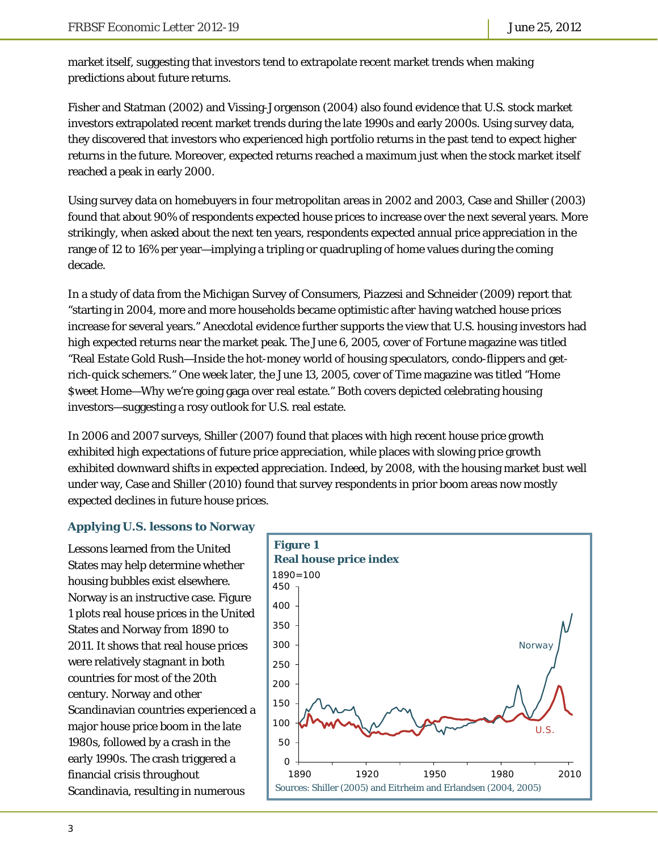market itself, suggesting that investors tend to extrapolate recent market trends when making predictions about future returns.

Fisher and Statman (2002) and Vissing-Jorgenson (2004) also found evidence that U.S. stock market investors extrapolated recent market trends during the late 1990s and early 2000s. Using survey data, they discovered that investors who experienced high portfolio returns in the past tend to expect higher returns in the future. Moreover, expected returns reached a maximum just when the stock market itself reached a peak in early 2000.

Using survey data on homebuyers in four metropolitan areas in 2002 and 2003, Case and Shiller (2003) found that about 90% of respondents expected house prices to increase over the next several years. More strikingly, when asked about the next ten years, respondents expected annual price appreciation in the range of 12 to 16% per year—implying a tripling or quadrupling of home values during the coming decade.

In a study of data from the Michigan Survey of Consumers, Piazzesi and Schneider (2009) report that "starting in 2004, more and more households became optimistic *after* having watched house prices increase for several years." Anecdotal evidence further supports the view that U.S. housing investors had high expected returns near the market peak. The June 6, 2005, cover of *Fortune* magazine was titled "Real Estate Gold Rush—Inside the hot-money world of housing speculators, condo-flippers and getrich-quick schemers." One week later, the June 13, 2005, cover of *Time* magazine was titled "Home \$weet Home—Why we're going gaga over real estate." Both covers depicted celebrating housing investors—suggesting a rosy outlook for U.S. real estate.

In 2006 and 2007 surveys, Shiller (2007) found that places with high recent house price growth exhibited high expectations of future price appreciation, while places with slowing price growth exhibited downward shifts in expected appreciation. Indeed, by 2008, with the housing market bust well under way, Case and Shiller (2010) found that survey respondents in prior boom areas now mostly expected declines in future house prices.

### **Applying U.S. lessons to Norway**

Lessons learned from the United States may help determine whether housing bubbles exist elsewhere. Norway is an instructive case. Figure 1 plots real house prices in the United States and Norway from 1890 to 2011. It shows that real house prices were relatively stagnant in both countries for most of the 20th century. Norway and other Scandinavian countries experienced a major house price boom in the late 1980s, followed by a crash in the early 1990s. The crash triggered a financial crisis throughout Scandinavia, resulting in numerous

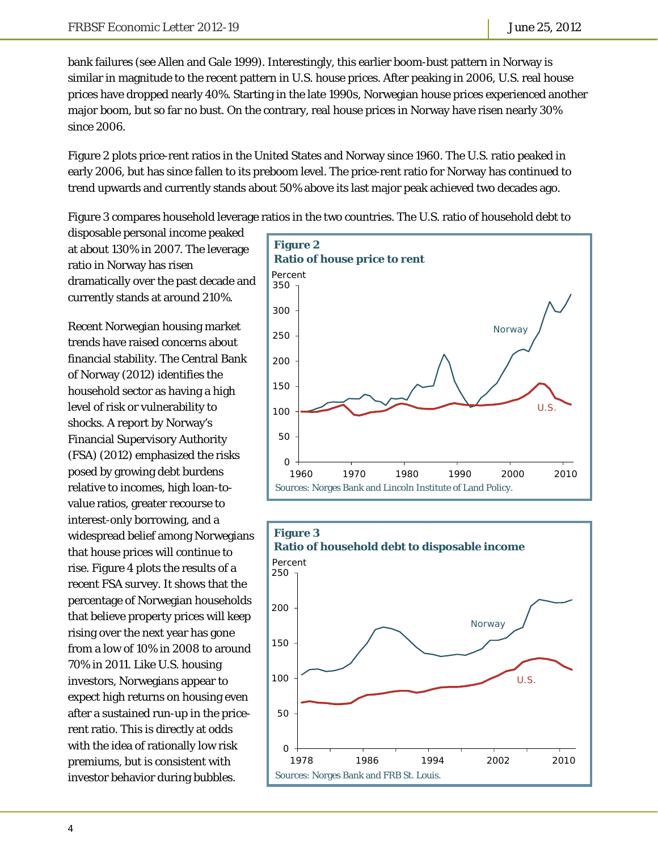bank failures (see Allen and Gale 1999). Interestingly, this earlier boom-bust pattern in Norway is similar in magnitude to the recent pattern in U.S. house prices. After peaking in 2006, U.S. real house prices have dropped nearly 40%. Starting in the late 1990s, Norwegian house prices experienced another major boom, but so far no bust. On the contrary, real house prices in Norway have risen nearly 30% since 2006.

Figure 2 plots price-rent ratios in the United States and Norway since 1960. The U.S. ratio peaked in early 2006, but has since fallen to its preboom level. The price-rent ratio for Norway has continued to trend upwards and currently stands about 50% above its last major peak achieved two decades ago.

Figure 3 compares household leverage ratios in the two countries. The U.S. ratio of household debt to

disposable personal income peaked at about 130% in 2007. The leverage ratio in Norway has risen dramatically over the past decade and currently stands at around 210%.

Recent Norwegian housing market trends have raised concerns about financial stability. The Central Bank of Norway (2012) identifies the household sector as having a high level of risk or vulnerability to shocks. A report by Norway's Financial Supervisory Authority (FSA) (2012) emphasized the risks posed by growing debt burdens relative to incomes, high loan-tovalue ratios, greater recourse to interest-only borrowing, and a widespread belief among Norwegians that house prices will continue to rise. Figure 4 plots the results of a recent FSA survey. It shows that the percentage of Norwegian households that believe property prices will keep rising over the next year has gone from a low of 10% in 2008 to around 70% in 2011. Like U.S. housing investors, Norwegians appear to expect high returns on housing even after a sustained run-up in the pricerent ratio. This is directly at odds with the idea of rationally low risk premiums, but is consistent with investor behavior during bubbles.



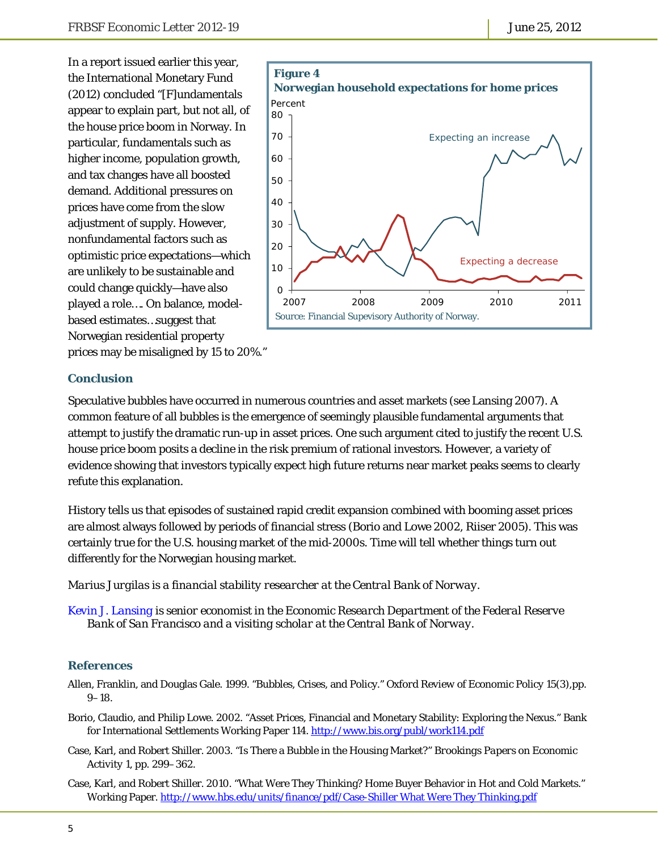In a report issued earlier this year, the International Monetary Fund (2012) concluded "[F]undamentals appear to explain part, but not all, of the house price boom in Norway. In particular, fundamentals such as higher income, population growth, and tax changes have all boosted demand. Additional pressures on prices have come from the slow adjustment of supply. However, nonfundamental factors such as optimistic price expectations—which are unlikely to be sustainable and could change quickly—have also played a role…. On balance, modelbased estimates…suggest that Norwegian residential property prices may be misaligned by 15 to 20%."



#### **Conclusion**

Speculative bubbles have occurred in numerous countries and asset markets (see Lansing 2007). A common feature of all bubbles is the emergence of seemingly plausible fundamental arguments that attempt to justify the dramatic run-up in asset prices. One such argument cited to justify the recent U.S. house price boom posits a decline in the risk premium of rational investors. However, a variety of evidence showing that investors typically expect high future returns near market peaks seems to clearly refute this explanation.

History tells us that episodes of sustained rapid credit expansion combined with booming asset prices are almost always followed by periods of financial stress (Borio and Lowe 2002, Riiser 2005). This was certainly true for the U.S. housing market of the mid-2000s. Time will tell whether things turn out differently for the Norwegian housing market.

*Marius Jurgilas is a financial stability researcher at the Central Bank of Norway.* 

*[Kevin J. Lansing is](http://www.frbsf.org/economics/economists/staff.php?klansing) senior economist in the Economic Research Department of the Federal Reserve Bank of San Francisco and a visiting scholar at the Central Bank of Norway.* 

#### **References**

- Allen, Franklin, and Douglas Gale. 1999. "Bubbles, Crises, and Policy." *Oxford Review of Economic Policy* 15(3),pp. 9–18.
- Borio, Claudio, and Philip Lowe. 2002. "Asset Prices, Financial and Monetary Stability: Exploring the Nexus." Bank for International Settlements Working Paper 114. http://www.bis.org/publ/work114.pdf
- Case, Karl, and Robert Shiller. 2003. "Is There a Bubble in the Housing Market?" *Brookings Papers on Economic Activity* 1, pp. 299–362.
- Case, Karl, and Robert Shiller. 2010. "What Were They Thinking? Home Buyer Behavior in Hot and Cold Markets." Working Paper. http://www.hbs.edu/units/finance/pdf/Case-Shiller What Were They Thinking.pdf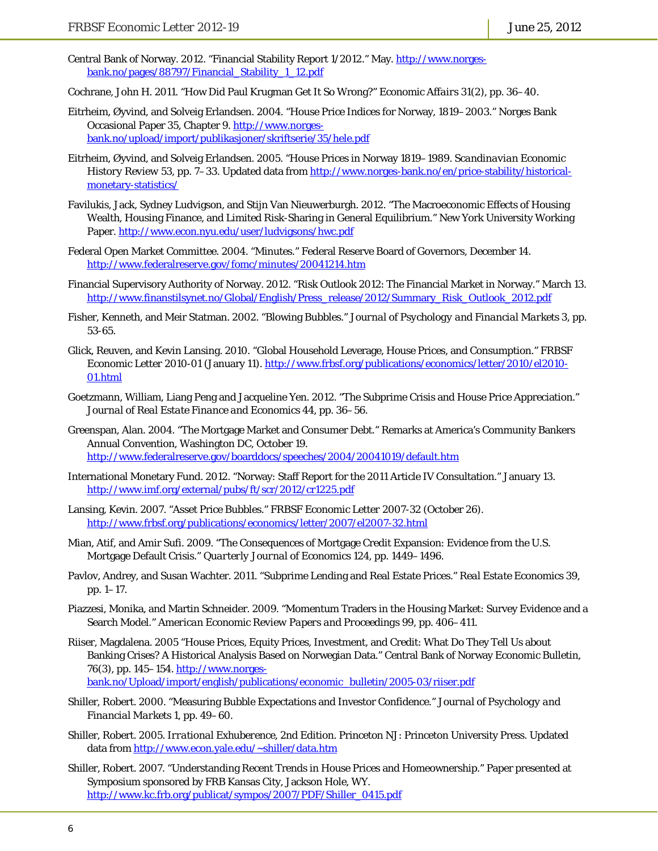Central Bank of Norway. 2012. "Financial Stability Report 1/2012." May. http://www.norgesbank.no/pages/88797/Financial\_Stability\_1\_12.pdf

Cochrane, John H. 2011. "How Did Paul Krugman Get It So Wrong?" *Economic Affairs* 31(2), pp. 36–40.

- Eitrheim, Øyvind, and Solveig Erlandsen. 2004. "House Price Indices for Norway, 1819–2003." Norges Bank Occasional Paper 35, Chapter 9. http://www.norgesbank.no/upload/import/publikasjoner/skriftserie/35/hele.pdf
- Eitrheim, Øyvind, and Solveig Erlandsen. 2005. "House Prices in Norway 1819–1989. *Scandinavian Economic History Review* 53, pp. 7–33. Updated data from http://www.norges-bank.no/en/price-stability/historicalmonetary-statistics/
- Favilukis, Jack, Sydney Ludvigson, and Stijn Van Nieuwerburgh. 2012. "The Macroeconomic Effects of Housing Wealth, Housing Finance, and Limited Risk-Sharing in General Equilibrium." New York University Working Paper. http://www.econ.nyu.edu/user/ludvigsons/hwc.pdf
- Federal Open Market Committee. 2004. "Minutes." Federal Reserve Board of Governors, December 14. http://www.federalreserve.gov/fomc/minutes/20041214.htm
- Financial Supervisory Authority of Norway. 2012. "Risk Outlook 2012: The Financial Market in Norway." March 13. http://www.finanstilsynet.no/Global/English/Press\_release/2012/Summary\_Risk\_Outlook\_2012.pdf
- Fisher, Kenneth, and Meir Statman. 2002. "Blowing Bubbles." *Journal of Psychology and Financial Markets* 3, pp. 53-65.
- Glick, Reuven, and Kevin Lansing. 2010. "Global Household Leverage, House Prices, and Consumption." *FRBSF Economic Letter* 2010-01 (January 11). http://www.frbsf.org/publications/economics/letter/2010/el2010- 01.html
- Goetzmann, William, Liang Peng and Jacqueline Yen. 2012. "The Subprime Crisis and House Price Appreciation." *Journal of Real Estate Finance and Economics* 44, pp. 36–56.
- Greenspan, Alan. 2004. "The Mortgage Market and Consumer Debt." Remarks at America's Community Bankers Annual Convention, Washington DC, October 19. http://www.federalreserve.gov/boarddocs/speeches/2004/20041019/default.htm
- International Monetary Fund. 2012. "Norway: Staff Report for the 2011 Article IV Consultation." January 13. http://www.imf.org/external/pubs/ft/scr/2012/cr1225.pdf
- Lansing, Kevin. 2007. "Asset Price Bubbles." *FRBSF Economic Letter* 2007-32 (October 26). http://www.frbsf.org/publications/economics/letter/2007/el2007-32.html
- Mian, Atif, and Amir Sufi. 2009. "The Consequences of Mortgage Credit Expansion: Evidence from the U.S. Mortgage Default Crisis." *Quarterly Journal of Economics* 124, pp. 1449–1496.
- Pavlov, Andrey, and Susan Wachter. 2011. "Subprime Lending and Real Estate Prices." *Real Estate Economics* 39, pp. 1–17.
- Piazzesi, Monika, and Martin Schneider. 2009. "Momentum Traders in the Housing Market: Survey Evidence and a Search Model." *American Economic Review Papers and Proceedings* 99, pp. 406–411.
- Riiser, Magdalena. 2005 "House Prices, Equity Prices, Investment, and Credit: What Do They Tell Us about Banking Crises? A Historical Analysis Based on Norwegian Data." Central Bank of Norway *Economic Bulletin*, 76(3), pp. 145–154. http://www.norgesbank.no/Upload/import/english/publications/economic\_bulletin/2005-03/riiser.pdf
- Shiller, Robert. 2000. "Measuring Bubble Expectations and Investor Confidence." *Journal of Psychology and Financial Markets* 1, pp. 49–60.
- Shiller, Robert. 2005. *Irrational Exhuberence*, 2nd Edition. Princeton NJ: Princeton University Press. Updated data from http://www.econ.yale.edu/~shiller/data.htm
- Shiller, Robert. 2007. "Understanding Recent Trends in House Prices and Homeownership." Paper presented at Symposium sponsored by FRB Kansas City, Jackson Hole, WY. http://www.kc.frb.org/publicat/sympos/2007/PDF/Shiller\_0415.pdf